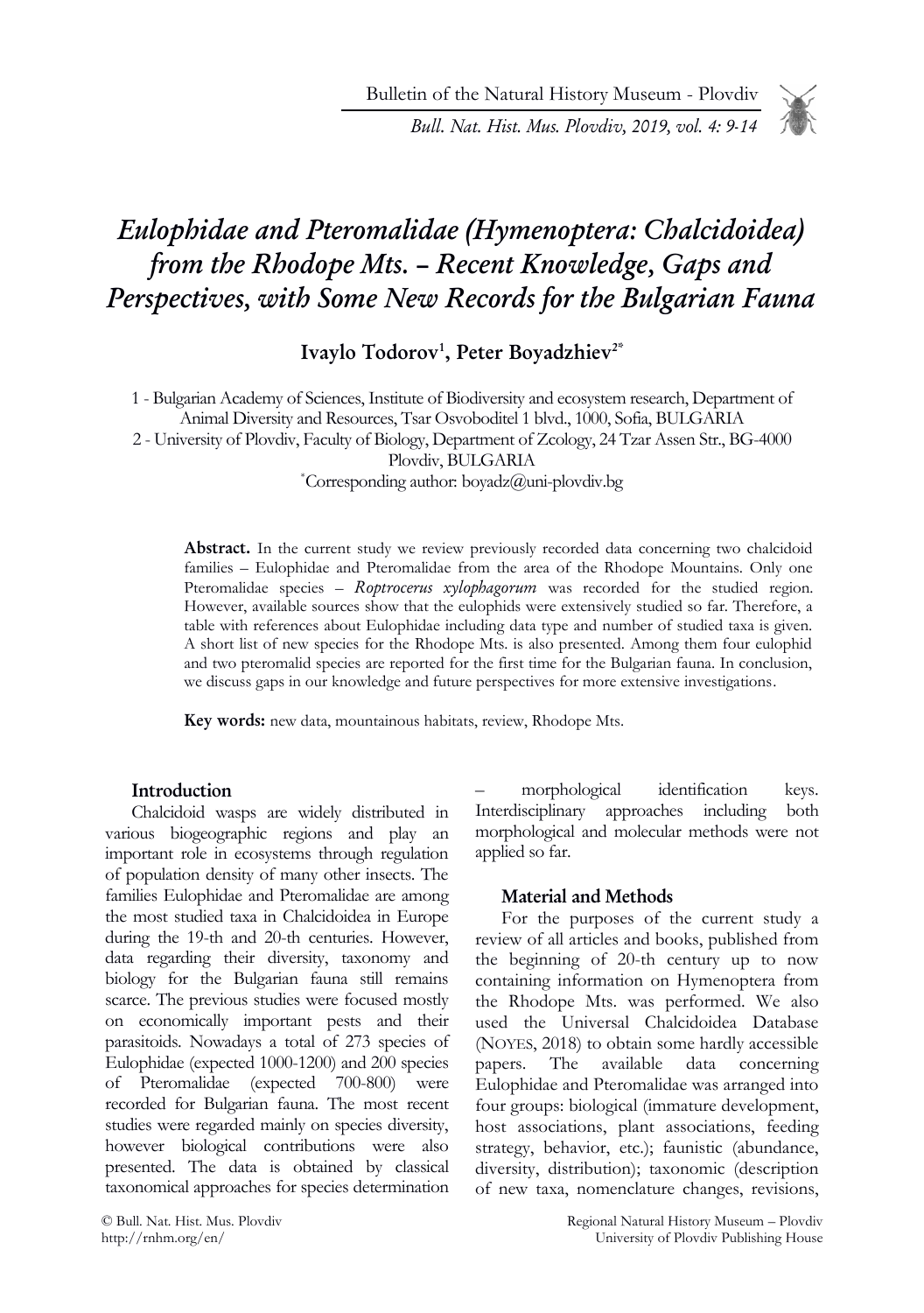Bulletin of the Natural History Museum - Plovdiv

Bull. Nat. Hist. Mus. Plovdiv, 2019, vol. 4: 9-14

# Eulophidae and Pteromalidae (Hymenoptera: Chalcidoidea) from the Rhodope Mts. – Recent Knowledge, Gaps and Perspectives, with Some New Records for the Bulgarian Fauna

Ivaylo Todorov<sup>1</sup>, Peter Boyadzhiev<sup>2\*</sup>

1 - Bulgarian Academy of Sciences, Institute of Biodiversity and ecosystem research, Department of Animal Diversity and Resources, Tsar Osvoboditel 1 blvd., 1000, Sofia, BULGARIA 2 - University of Plovdiv, Faculty of Biology, Department of Zcology, 24 Tzar Assen Str., BG-4000 Plovdiv, BULGARIA \*Corresponding author: boyadz@uni-plovdiv.bg

Abstract. In the current study we review previously recorded data concerning two chalcidoid families – Eulophidae and Pteromalidae from the area of the Rhodope Mountains. Only one Pteromalidae species - Roptrocerus xylophagorum was recorded for the studied region. However, available sources show that the eulophids were extensively studied so far. Therefore, a table with references about Eulophidae including data type and number of studied taxa is given. A short list of new species for the Rhodope Mts. is also presented. Among them four eulophid and two pteromalid species are reported for the first time for the Bulgarian fauna. In conclusion, we discuss gaps in our knowledge and future perspectives for more extensive investigations.

Key words: new data, mountainous habitats, review, Rhodope Mts.

## Introduction

Chalcidoid wasps are widely distributed in various biogeographic regions and play an important role in ecosystems through regulation of population density of many other insects. The families Eulophidae and Pteromalidae are among the most studied taxa in Chalcidoidea in Europe during the 19-th and 20-th centuries. However, data regarding their diversity, taxonomy and biology for the Bulgarian fauna still remains scarce. The previous studies were focused mostly on economically important pests and their parasitoids. Nowadays a total of 273 species of Eulophidae (expected 1000-1200) and 200 species of Pteromalidae (expected 700-800) were recorded for Bulgarian fauna. The most recent studies were regarded mainly on species diversity, however biological contributions were also presented. The data is obtained by classical taxonomical approaches for species determination

morphological identification keys. Interdisciplinary approaches including both morphological and molecular methods were not applied so far.

#### Material and Methods

For the purposes of the current study a review of all articles and books, published from the beginning of 20-th century up to now containing information on Hymenoptera from the Rhodope Mts. was performed. We also used the Universal Chalcidoidea Database (NOYES, 2018) to obtain some hardly accessible papers. The available data concerning Eulophidae and Pteromalidae was arranged into four groups: biological (immature development, host associations, plant associations, feeding strategy, behavior, etc.); faunistic (abundance, diversity, distribution); taxonomic (description of new taxa, nomenclature changes, revisions,

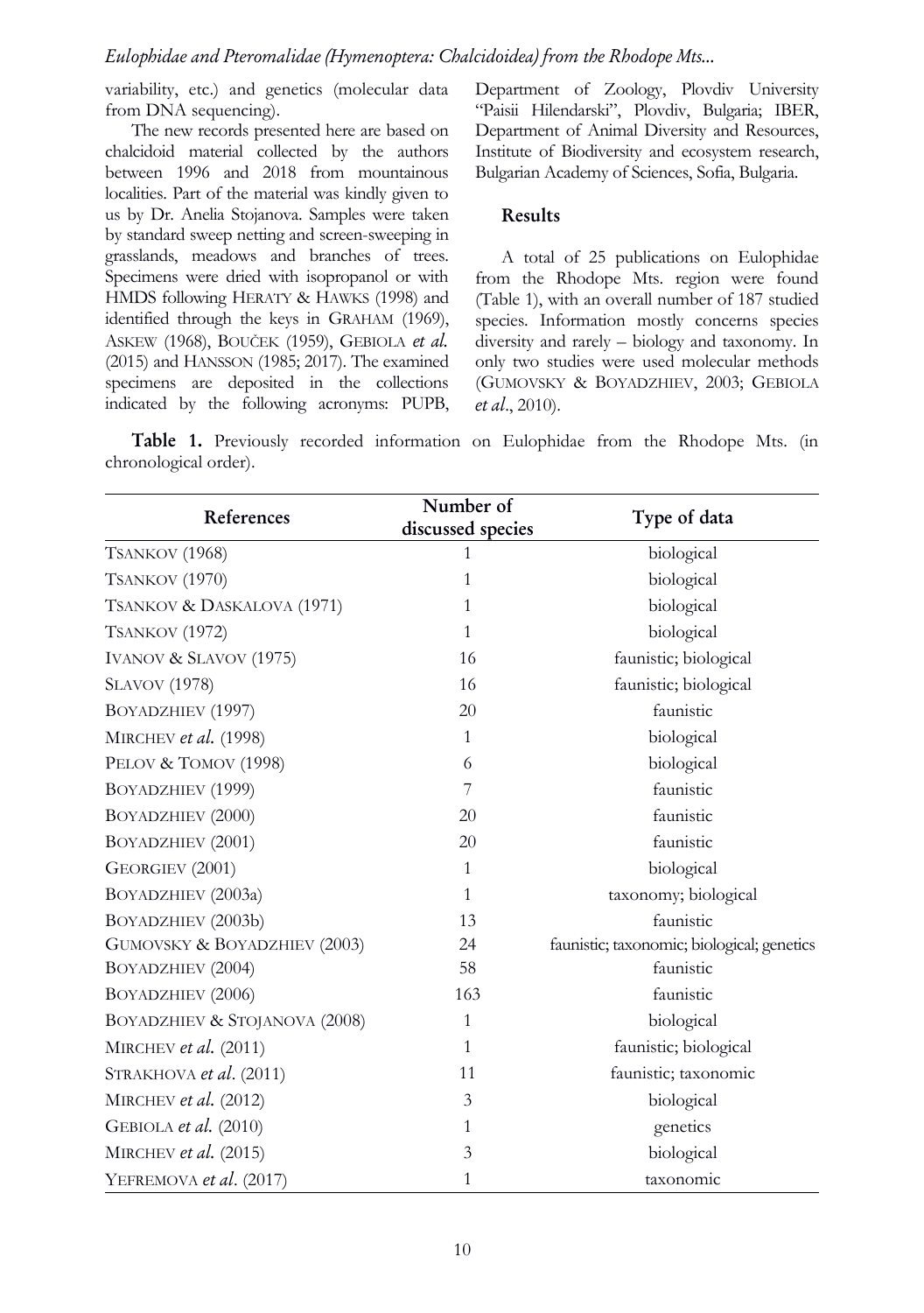## Eulophidae and Pteromalidae (Hymenoptera: Chalcidoidea) from the Rhodope Mts...

variability, etc.) and genetics (molecular data from DNA sequencing).

The new records presented here are based on chalcidoid material collected by the authors between 1996 and 2018 from mountainous localities. Part of the material was kindly given to us by Dr. Anelia Stojanova. Samples were taken by standard sweep netting and screen-sweeping in grasslands, meadows and branches of trees. Specimens were dried with isopropanol or with HMDS following HERATY & HAWKS (1998) and identified through the keys in GRAHAM (1969), ASKEW (1968), BOUČEK (1959), GEBIOLA et al. (2015) and HANSSON (1985; 2017). The examined specimens are deposited in the collections indicated by the following acronyms: PUPB, Department of Zoology, Plovdiv University "Paisii Hilendarski", Plovdiv, Bulgaria; IBER, Department of Animal Diversity and Resources, Institute of Biodiversity and ecosystem research, Bulgarian Academy of Sciences, Sofia, Bulgaria.

#### Results

A total of 25 publications on Eulophidae from the Rhodope Mts. region were found (Table 1), with an overall number of 187 studied species. Information mostly concerns species diversity and rarely – biology and taxonomy. In only two studies were used molecular methods (GUMOVSKY & BOYADZHIEV, 2003; GEBIOLA et al., 2010).

Table 1. Previously recorded information on Eulophidae from the Rhodope Mts. (in chronological order).

| References                    | Number of<br>discussed species | Type of data                               |
|-------------------------------|--------------------------------|--------------------------------------------|
| TSANKOV (1968)                | 1                              | biological                                 |
| TSANKOV (1970)                | 1                              | biological                                 |
| TSANKOV & DASKALOVA (1971)    | 1                              | biological                                 |
| TSANKOV (1972)                | 1                              | biological                                 |
| IVANOV & SLAVOV (1975)        | 16                             | faunistic; biological                      |
| <b>SLAVOV</b> (1978)          | 16                             | faunistic; biological                      |
| BOYADZHIEV (1997)             | 20                             | faunistic                                  |
| MIRCHEV et al. (1998)         | $\mathbf{1}$                   | biological                                 |
| PELOV & TOMOV (1998)          | 6                              | biological                                 |
| BOYADZHIEV (1999)             | 7                              | faunistic                                  |
| BOYADZHIEV (2000)             | 20                             | faunistic                                  |
| BOYADZHIEV (2001)             | 20                             | faunistic                                  |
| GEORGIEV (2001)               | $\mathbf{1}$                   | biological                                 |
| BOYADZHIEV (2003a)            | $\mathbf{1}$                   | taxonomy; biological                       |
| BOYADZHIEV (2003b)            | 13                             | faunistic                                  |
| GUMOVSKY & BOYADZHIEV (2003)  | 24                             | faunistic; taxonomic; biological; genetics |
| BOYADZHIEV (2004)             | 58                             | faunistic                                  |
| BOYADZHIEV (2006)             | 163                            | faunistic                                  |
| BOYADZHIEV & STOJANOVA (2008) | 1                              | biological                                 |
| MIRCHEV et al. $(2011)$       | $\mathbf{1}$                   | faunistic; biological                      |
| STRAKHOVA et al. (2011)       | 11                             | faunistic; taxonomic                       |
| MIRCHEV et al. $(2012)$       | 3                              | biological                                 |
| GEBIOLA et al. (2010)         | 1                              | genetics                                   |
| MIRCHEV et al. $(2015)$       | 3                              | biological                                 |
| YEFREMOVA et al. (2017)       | 1                              | taxonomic                                  |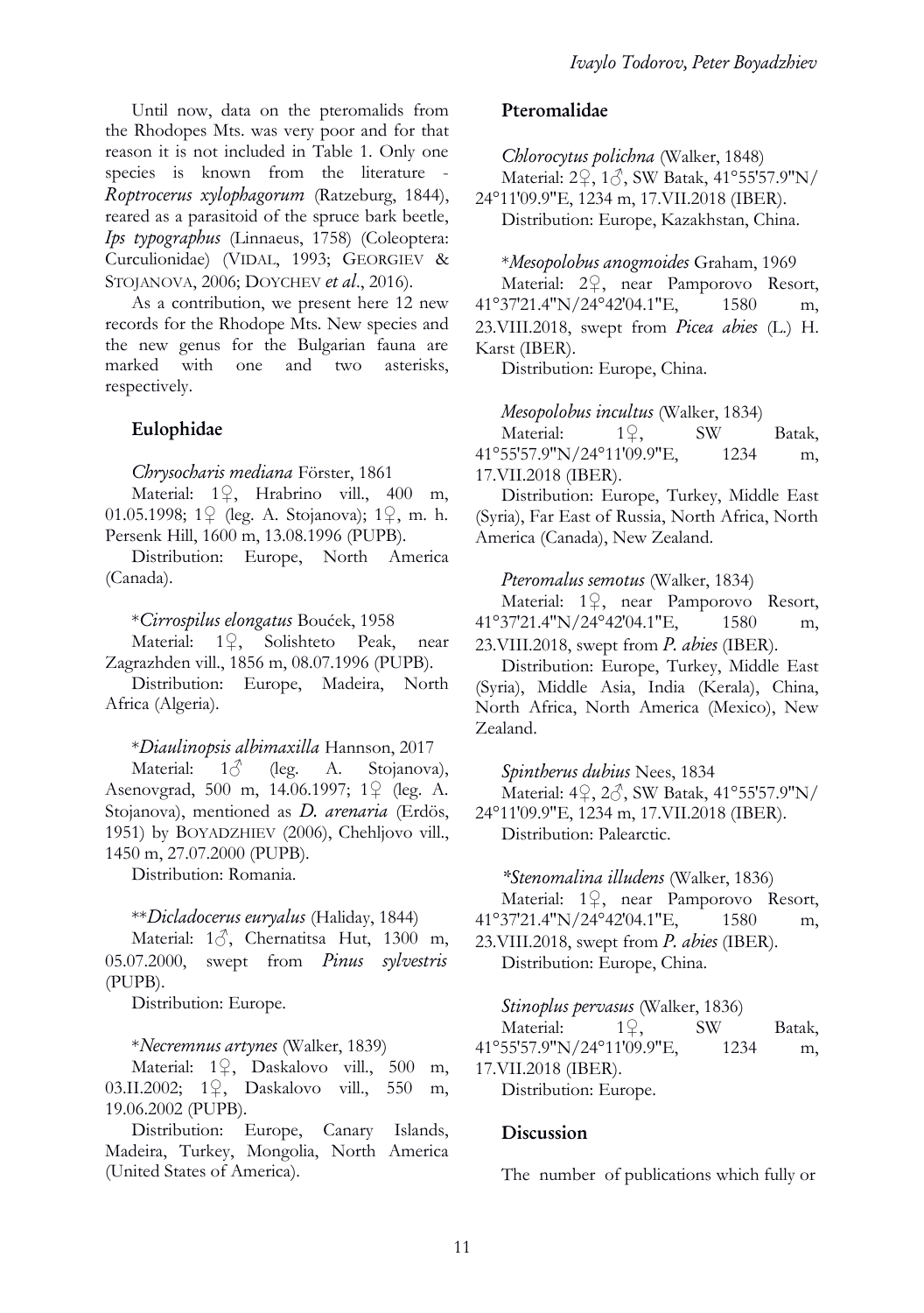Until now, data on the pteromalids from the Rhodopes Mts. was very poor and for that reason it is not included in Table 1. Only one species is known from the literature - Roptrocerus xylophagorum (Ratzeburg, 1844), reared as a parasitoid of the spruce bark beetle, Ips typographus (Linnaeus, 1758) (Coleoptera: Curculionidae) (VIDAL, 1993; GEORGIEV & STOJANOVA, 2006; DOYCHEV et al., 2016).

As a contribution, we present here 12 new records for the Rhodope Mts. New species and the new genus for the Bulgarian fauna are marked with one and two asterisks, respectively.

## Eulophidae

Chrysocharis mediana Förster, 1861

Material: 1♀, Hrabrino vill., 400 m, 01.05.1998; 1♀ (leg. A. Stojanova); 1♀, m. h. Persenk Hill, 1600 m, 13.08.1996 (PUPB).

Distribution: Europe, North America (Canada).

\*Cirrospilus elongatus Boućek, 1958

Material: 1♀, Solishteto Peak, near Zagrazhden vill., 1856 m, 08.07.1996 (PUPB).

Distribution: Europe, Madeira, North Africa (Algeria).

\*Diaulinopsis albimaxilla Hannson, 2017

Material:  $1\delta$  (leg. A. Stojanova), Asenovgrad, 500 m, 14.06.1997; 1♀ (leg. A. Stojanova), mentioned as *D. arenaria* (Erdös, 1951) by BOYADZHIEV (2006), Chehljovo vill., 1450 m, 27.07.2000 (PUPB).

Distribution: Romania.

## \*\*Dicladocerus euryalus (Haliday, 1844)

Material: 13, Chernatitsa Hut, 1300 m, 05.07.2000, swept from Pinus sylvestris (PUPB).

Distribution: Europe.

#### \*Necremnus artynes (Walker, 1839)

Material: 1♀, Daskalovo vill., 500 m, 03.II.2002; 1♀, Daskalovo vill., 550 m, 19.06.2002 (PUPB).

Distribution: Europe, Canary Islands, Madeira, Turkey, Mongolia, North America (United States of America).

## Pteromalidae

Chlorocytus polichna (Walker, 1848) Material: 2♀, 1♂, SW Batak, 41°55′57.9″N/ 24°11′09.9″E, 1234 m, 17.VII.2018 (IBER). Distribution: Europe, Kazakhstan, China.

\*Mesopolobus anogmoides Graham, 1969

Material: 2♀, near Pamporovo Resort, 41°37′21.4″N/24°42′04.1″E, 1580 m, 23.VIII.2018, swept from Picea abies (L.) H. Karst (IBER).

Distribution: Europe, China.

Mesopolobus incultus (Walker, 1834)

Material: 1♀, SW Batak, 41°55′57.9″N/24°11′09.9″E, 1234 m, 17.VII.2018 (IBER).

Distribution: Europe, Turkey, Middle East (Syria), Far East of Russia, North Africa, North America (Canada), New Zealand.

## Pteromalus semotus (Walker, 1834)

Material: 1♀, near Pamporovo Resort, 41°37′21.4″N/24°42′04.1″E, 1580 m, 23. VIII. 2018, swept from *P. abies* (IBER).

Distribution: Europe, Turkey, Middle East (Syria), Middle Asia, India (Kerala), China, North Africa, North America (Mexico), New Zealand.

Spintherus dubius Nees, 1834

Material: 4♀, 2♂, SW Batak, 41°55′57.9″N/

24°11′09.9″E, 1234 m, 17.VII.2018 (IBER). Distribution: Palearctic.

## \*Stenomalina illudens (Walker, 1836)

Material: 1♀, near Pamporovo Resort, 41°37′21.4″N/24°42′04.1″E, 1580 m, 23. VIII. 2018, swept from  $P$ . abies (IBER). Distribution: Europe, China.

## Stinoplus pervasus (Walker, 1836)

Material: 1♀, SW Batak, 41°55′57.9″N/24°11′09.9″E, 1234 m, 17.VII.2018 (IBER).

Distribution: Europe.

## Discussion

The number of publications which fully or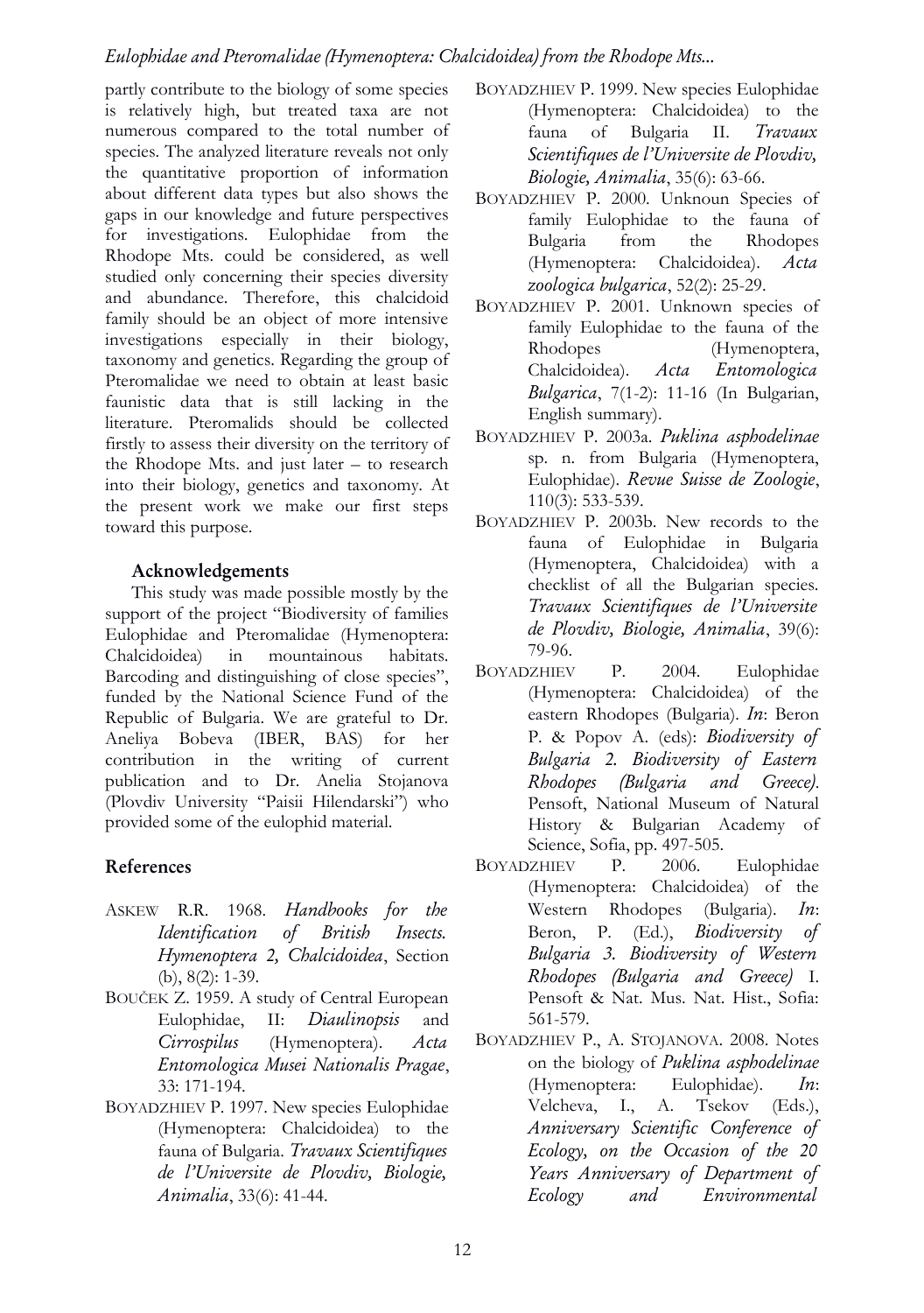# Eulophidae and Pteromalidae (Hymenoptera: Chalcidoidea) from the Rhodope Mts...

partly contribute to the biology of some species is relatively high, but treated taxa are not numerous compared to the total number of species. The analyzed literature reveals not only the quantitative proportion of information about different data types but also shows the gaps in our knowledge and future perspectives for investigations. Eulophidae from the Rhodope Mts. could be considered, as well studied only concerning their species diversity and abundance. Therefore, this chalcidoid family should be an object of more intensive investigations especially in their biology, taxonomy and genetics. Regarding the group of Pteromalidae we need to obtain at least basic faunistic data that is still lacking in the literature. Pteromalids should be collected firstly to assess their diversity on the territory of the Rhodope Mts. and just later – to research into their biology, genetics and taxonomy. At the present work we make our first steps toward this purpose.

## Acknowledgements

This study was made possible mostly by the support of the project "Biodiversity of families Eulophidae and Pteromalidae (Hymenoptera: Chalcidoidea) in mountainous habitats. Barcoding and distinguishing of close species", funded by the National Science Fund of the Republic of Bulgaria. We are grateful to Dr. Aneliya Bobeva (IBER, BAS) for her contribution in the writing of current publication and to Dr. Anelia Stojanova (Plovdiv University "Paisii Hilendarski") who provided some of the eulophid material.

# References

- ASKEW R.R. 1968. Handbooks for the Identification of British Insects. Hymenoptera 2, Chalcidoidea, Section (b), 8(2): 1-39.
- BOUČEK Z. 1959. A study of Central European Eulophidae, II: Diaulinopsis and Cirrospilus (Hymenoptera). Acta Entomologica Musei Nationalis Pragae, 33: 171-194.
- BOYADZHIEV P. 1997. New species Eulophidae (Hymenoptera: Chalcidoidea) to the fauna of Bulgaria. Travaux Scientifiques de l'Universite de Plovdiv, Biologie, Animalia, 33(6): 41-44.
- BOYADZHIEV P. 1999. New species Eulophidae (Hymenoptera: Chalcidoidea) to the fauna of Bulgaria II. Travaux Scientifiques de l'Universite de Plovdiv, Biologie, Animalia, 35(6): 63-66.
- BOYADZHIEV P. 2000. Unknoun Species of family Eulophidae to the fauna of Bulgaria from the Rhodopes (Hymenoptera: Chalcidoidea). Acta zoologica bulgarica, 52(2): 25-29.
- BOYADZHIEV P. 2001. Unknown species of family Eulophidae to the fauna of the Rhodopes (Hymenoptera, Chalcidoidea). Acta Entomologica Bulgarica, 7(1-2): 11-16 (In Bulgarian, English summary).
- BOYADZHIEV P. 2003a. Puklina asphodelinae sp. n. from Bulgaria (Hymenoptera, Eulophidae). Revue Suisse de Zoologie, 110(3): 533-539.
- BOYADZHIEV P. 2003b. New records to the fauna of Eulophidae in Bulgaria (Hymenoptera, Chalcidoidea) with a checklist of all the Bulgarian species. Travaux Scientifiques de l'Universite de Plovdiv, Biologie, Animalia, 39(6): 79-96.
- BOYADZHIEV P. 2004. Eulophidae (Hymenoptera: Chalcidoidea) of the eastern Rhodopes (Bulgaria). In: Beron P. & Popov A. (eds): Biodiversity of Bulgaria 2. Biodiversity of Eastern Rhodopes (Bulgaria and Greece). Pensoft, National Museum of Natural History & Bulgarian Academy of Science, Sofia, pp. 497-505.
- BOYADZHIEV P. 2006. Eulophidae (Hymenoptera: Chalcidoidea) of the Western Rhodopes (Bulgaria). In: Beron, P. (Ed.), Biodiversity of Bulgaria 3. Biodiversity of Western Rhodopes (Bulgaria and Greece) I. Pensoft & Nat. Mus. Nat. Hist., Sofia: 561-579.
- BOYADZHIEV P., A. STOJANOVA. 2008. Notes on the biology of Puklina asphodelinae (Hymenoptera: Eulophidae). In: Velcheva, I., A. Tsekov (Eds.), Anniversary Scientific Conference of Ecology, on the Occasion of the 20 Years Anniversary of Department of Ecology and Environmental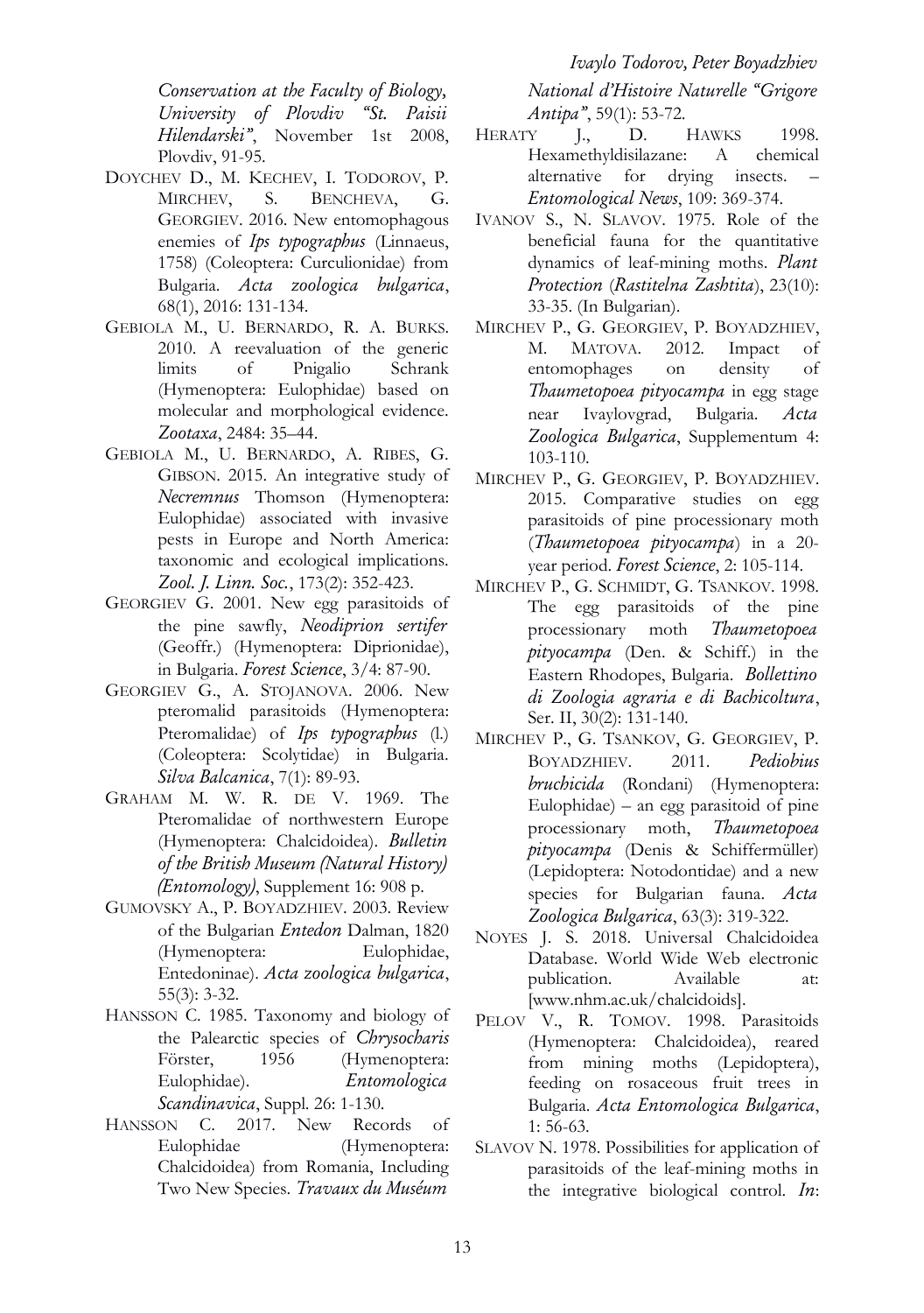Conservation at the Faculty of Biology, University of Plovdiv "St. Paisii Hilendarski", November 1st 2008, Plovdiv, 91-95.

- DOYCHEV D., M. KECHEV, I. TODOROV, P. MIRCHEV, S. BENCHEVA, G. GEORGIEV. 2016. New entomophagous enemies of Ips typographus (Linnaeus, 1758) (Coleoptera: Curculionidae) from Bulgaria. Acta zoologica bulgarica, 68(1), 2016: 131-134.
- GEBIOLA M., U. BERNARDO, R. A. BURKS. 2010. A reevaluation of the generic limits of Pnigalio Schrank (Hymenoptera: Eulophidae) based on molecular and morphological evidence. Zootaxa, 2484: 35–44.
- GEBIOLA M., U. BERNARDO, A. RIBES, G. GIBSON. 2015. An integrative study of Necremnus Thomson (Hymenoptera: Eulophidae) associated with invasive pests in Europe and North America: taxonomic and ecological implications. Zool. J. Linn. Soc., 173(2): 352-423.
- GEORGIEV G. 2001. New egg parasitoids of the pine sawfly, Neodiprion sertifer (Geoffr.) (Hymenoptera: Diprionidae), in Bulgaria. Forest Science, 3/4: 87-90.
- GEORGIEV G., A. STOJANOVA. 2006. New pteromalid parasitoids (Hymenoptera: Pteromalidae) of Ips typographus (l.) (Coleoptera: Scolytidae) in Bulgaria. Silva Balcanica, 7(1): 89-93.
- GRAHAM M. W. R. DE V. 1969. The Pteromalidae of northwestern Europe (Hymenoptera: Chalcidoidea). Bulletin of the British Museum (Natural History) (Entomology), Supplement 16: 908 p.
- GUMOVSKY A., P. BOYADZHIEV. 2003. Review of the Bulgarian Entedon Dalman, 1820 (Hymenoptera: Eulophidae, Entedoninae). Acta zoologica bulgarica, 55(3): 3-32.
- HANSSON C. 1985. Taxonomy and biology of the Palearctic species of Chrysocharis Förster, 1956 (Hymenoptera: Eulophidae). Entomologica Scandinavica, Suppl. 26: 1-130.
- HANSSON C. 2017. New Records of Eulophidae (Hymenoptera: Chalcidoidea) from Romania, Including Two New Species. Travaux du Muséum

Ivaylo Todorov, Peter Boyadzhiev National d'Histoire Naturelle "Grigore Antipa", 59(1): 53-72.

- HERATY J., D. HAWKS 1998. Hexamethyldisilazane: A chemical alternative for drying insects. Entomological News, 109: 369-374.
- IVANOV S., N. SLAVOV. 1975. Role of the beneficial fauna for the quantitative dynamics of leaf-mining moths. Plant Protection (Rastitelna Zashtita), 23(10): 33-35. (In Bulgarian).
- MIRCHEV P., G. GEORGIEV, P. BOYADZHIEV, M. MATOVA. 2012. Impact of entomophages on density of Thaumetopoea pityocampa in egg stage near Ivaylovgrad, Bulgaria. Acta Zoologica Bulgarica, Supplementum 4: 103-110.
- MIRCHEV P., G. GEORGIEV, P. BOYADZHIEV. 2015. Comparative studies on egg parasitoids of pine processionary moth (Thaumetopoea pityocampa) in a 20 year period. Forest Science, 2: 105-114.
- MIRCHEV P., G. SCHMIDT, G. TSANKOV. 1998. The egg parasitoids of the pine processionary moth Thaumetopoea pityocampa (Den. & Schiff.) in the Eastern Rhodopes, Bulgaria. Bollettino di Zoologia agraria e di Bachicoltura, Ser. II, 30(2): 131-140.
- MIRCHEV P., G. TSANKOV, G. GEORGIEV, P. BOYADZHIEV. 2011. Pediobius bruchicida (Rondani) (Hymenoptera: Eulophidae) – an egg parasitoid of pine processionary moth, Thaumetopoea pityocampa (Denis & Schiffermüller) (Lepidoptera: Notodontidae) and a new species for Bulgarian fauna. Acta Zoologica Bulgarica, 63(3): 319-322.
- NOYES J. S. 2018. Universal Chalcidoidea Database. World Wide Web electronic publication. Available at: [www.nhm.ac.uk/chalcidoids].
- PELOV V., R. TOMOV. 1998. Parasitoids (Hymenoptera: Chalcidoidea), reared from mining moths (Lepidoptera), feeding on rosaceous fruit trees in Bulgaria. Acta Entomologica Bulgarica, 1: 56-63.
- SLAVOV N. 1978. Possibilities for application of parasitoids of the leaf-mining moths in the integrative biological control. In: